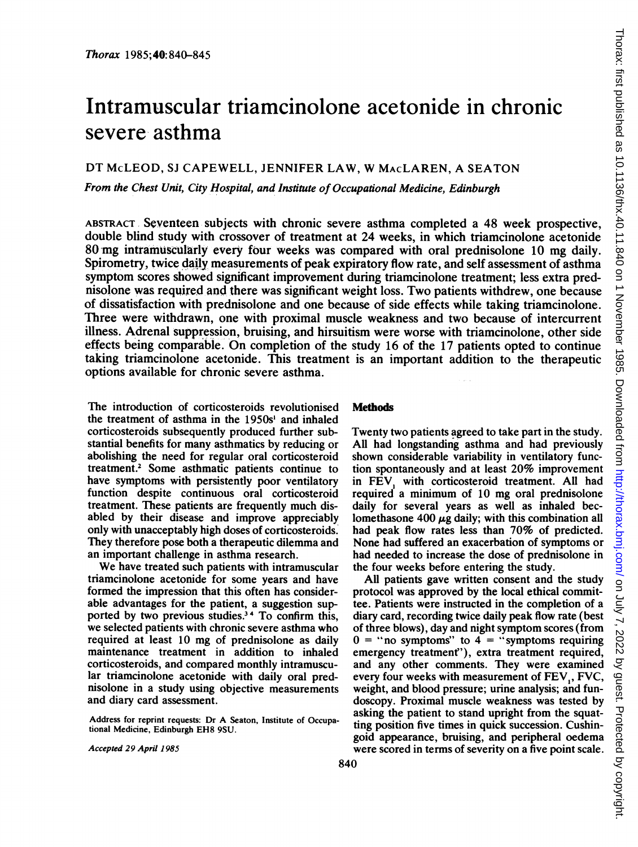# Intramuscular triamcinolone acetonide in chronic severe asthma

DT McLEOD, SJ CAPEWELL, JENNIFER LAW, W MAcLAREN, A SEATON

From the Chest Unit, City Hospital, and Institute of Occupational Medicine, Edinburgh

ABSTRACT, Seventeen subjects with chronic severe asthma completed a 48 week prospective, double blind study with crossover of treatment at 24 weeks, in which triamcinolone acetonide 80 mg intramuscularly every four weeks was compared with oral prednisolone 10 mg daily. Spirometry, twice daily measurements of peak expiratory flow rate, and self assessment of asthma symptom scores showed significant improvement during triamcinolone treatment; less extra prednisolone was required and there was significant weight loss. Two patients withdrew, one because of dissatisfaction with prednisolone and one because of side effects while taking triamcinolone. Three were withdrawn, one with proximal muscle weakness and two because of intercurrent illness. Adrenal suppression, bruising, and hirsuitism were worse with triamcinolone, other side effects being comparable. On completion of the study 16 of the 17 patients opted to continue taking triamcinolone acetonide. This treatment is an important addition to the therapeutic options available for chronic severe asthma.

The introduction of corticosteroids revolutionised the treatment of asthma in the 1950s' and inhaled corticosteroids subsequently produced further substantial benefits for many asthmatics by reducing or abolishing the need for regular oral corticosteroid treatment.2 Some asthmatic patients continue to have symptoms with persistently poor ventilatory function despite continuous oral corticosteroid treatment. These patients are frequently much disabled by their disease and improve appreciably only with unacceptably high doses of corticosteroids. They therefore pose both a therapeutic dilemma and an important challenge in asthma research.

We have treated such patients with intramuscular triamcinolone acetonide for some years and have formed the impression that this often has considerable advantages for the patient, a suggestion supported by two previous studies.<sup>34</sup> To confirm this, we selected patients with chronic severe asthma who required at least 10 mg of prednisolone as daily maintenance treatment in addition to inhaled corticosteroids, and compared monthly intramuscular triamcinolone acetonide with daily oral prednisolone in a study using objective measurements and diary card assessment.

Address for reprint requests: Dr A Seaton, Institute of Occupational Medicine, Edinburgh EH8 9SU.

Accepted 29 April 198S

# **Methods**

Twenty two patients agreed to take part in the study. All had longstanding asthma and had previously shown considerable variability in ventilatory function spontaneously and at least 20% improvement in FEV, with corticosteroid treatment. All had required a minimum of 10 mg oral prednisolone daily for several years as well as inhaled beclomethasone 400  $\mu$ g daily; with this combination all had peak flow rates less than 70% of predicted. None had suffered an exacerbation of symptoms or had needed to increase the dose of prednisolone in the four weeks before entering the study.

All patients gave written consent and the study protocol was approved by the local ethical committee. Patients were instructed in the completion of a diary card, recording twice daily peak flow rate (best of three blows), day and night symptom scores (from  $0 =$  "no symptoms" to  $4 =$  "symptoms requiring emergency treatment"'), extra treatment required, and any other comments. They were examined every four weeks with measurement of FEV, FVC, weight, and blood pressure; urine analysis; and fundoscopy. Proximal muscle weakness was tested by asking the patient to stand upright from the squatting position five times in quick succession. Cushingoid appearance, bruising, and peripheral oedema were scored in terms of severity on a five point scale.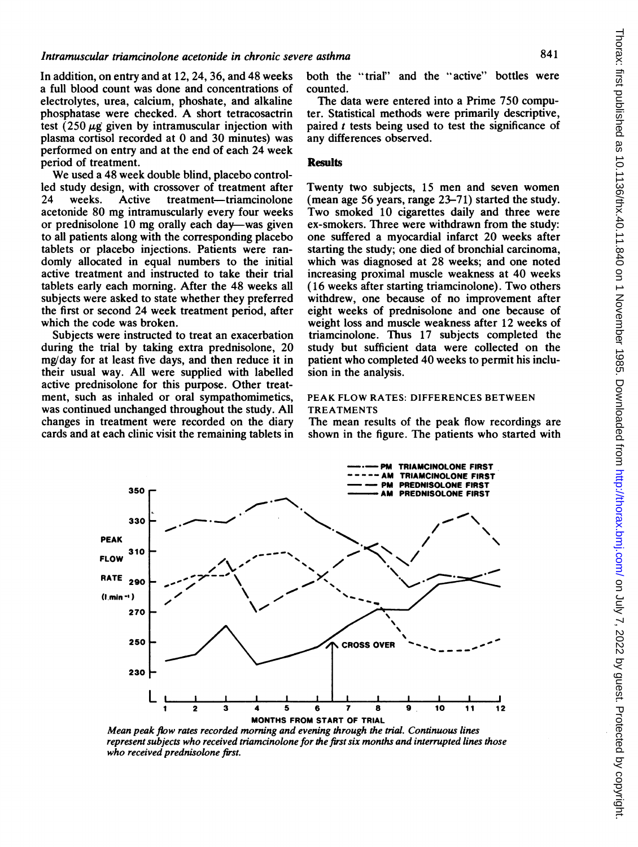In addition, on entry and at 12, 24, 36, and 48 weeks a full blood count was done and concentrations of electrolytes, urea, calcium, phoshate, and alkaline phosphatase were checked. A short tetracosactrin test  $(250 \mu g)$  given by intramuscular injection with plasma cortisol recorded at 0 and 30 minutes) was performed on entry and at the end of each 24 week period of treatment.

We used <sup>a</sup> 48 week double blind, placebo controlled study design, with crossover of treatment after 24 weeks. Active treatment-triamcinolone acetonide 80 mg intramuscularly every four weeks or prednisolone 10 mg orally each day-was given to all patients along with the corresponding placebo tablets or placebo injections. Patients were randomly allocated in equal numbers to the initial active treatment and instructed to take their trial tablets early each morning. After the 48 weeks all subjects were asked to state whether they preferred the first or second 24 week treatment period, after which the code was broken.

Subjects were instructed to treat an exacerbation during the trial by taking extra prednisolone, 20 mg/day for at least five days, and then reduce it in their usual way. All were supplied with labelled active prednisolone for this purpose. Other treatment, such as inhaled or oral sympathomimetics, was continued unchanged throughout the study. All changes in treatment were recorded on the diary cards and at each clinic visit the remaining tablets in both the "trial" and the "active" bottles were counted.

The data were entered into a Prime 750 computer. Statistical methods were primarily descriptive, paired  $t$  tests being used to test the significance of any differences observed.

# **Results**

Twenty two subjects, 15 men and seven women (mean age 56 years, range 23-71) started the study. Two smoked 10 cigarettes daily and three were ex-smokers. Three were withdrawn from the study: one suffered a myocardial infarct 20 weeks after starting the study; one died of bronchial carcinoma, which was diagnosed at 28 weeks; and one noted increasing proximal muscle weakness at 40 weeks (16 weeks after starting triamcinolone). Two others withdrew, one because of no improvement after eight weeks of prednisolone and one because of weight loss and muscle weakness after 12 weeks of triamcinolone. Thus 17 subjects completed the study but sufficient data were collected on the patient who completed 40 weeks to permit his inclusion in the analysis.

### PEAK FLOW RATES: DIFFERENCES BETWEEN TREATMENTS

The mean results of the peak flow recordings are shown in the figure. The patients who started with



Mean peak flow rates recorded morning and evening through the trial. Continuous lines represent subjects who received triamcinolone for the first six months and interrupted lines those who received prednisolone first.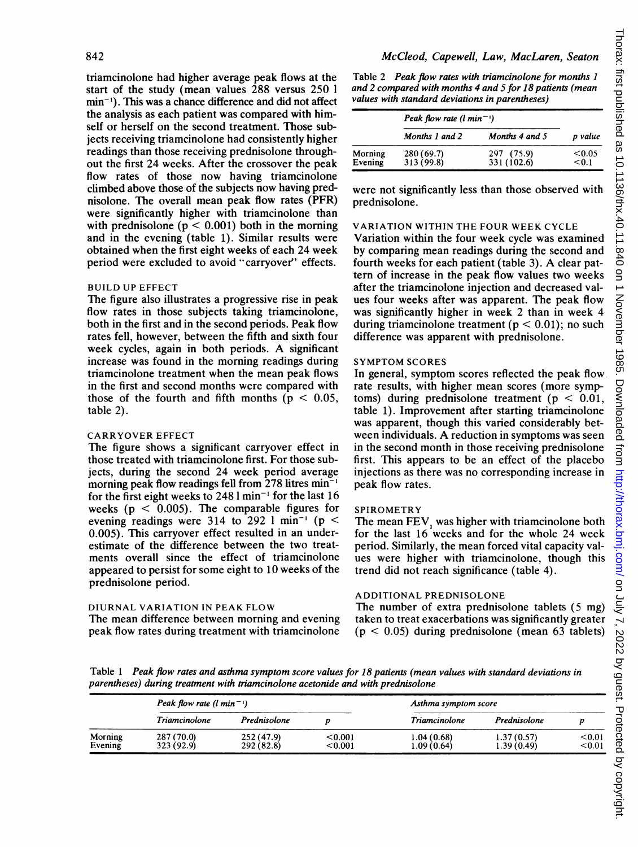triamcinolone had higher average peak flows at the start of the study (mean values 288 versus 250 <sup>1</sup> min-'). This was a chance difference and did not affect the analysis as each patient was compared with himself or herself on the second treatment. Those subjects receiving triamcinolone had consistently higher readings than those receiving prednisolone throughout the first 24 weeks. After the crossover the peak flow rates of those now having triamcinolone climbed above those of the subjects now having prednisolone. The overall mean peak flow rates (PFR) were significantly higher with triamcinolone than with prednisolone ( $p < 0.001$ ) both in the morning and in the evening (table 1). Similar results were obtained when the first eight weeks of each 24 week period were excluded to avoid "carryover' effects.

## BUILD UP EFFECT

The figure also illustrates a progressive rise in peak flow rates in those subjects taking triamcinolone, both in the first and in the second periods. Peak flow rates fell, however, between the fifth and sixth four week cycles, again in both periods. A significant increase was found in the morning readings during triamcinolone treatment when the mean peak flows in the first and second months were compared with those of the fourth and fifth months ( $p < 0.05$ , table 2).

#### CARRYOVER EFFECT

The figure shows a significant carryover effect in those treated with triamcinolone first. For those subjects, during the second 24 week period average morning peak flow readings fell from  $278$  litres min<sup>-1</sup> for the first eight weeks to  $248$  l min<sup>-1</sup> for the last 16 weeks ( $p < 0.005$ ). The comparable figures for evening readings were 314 to 292 1 min<sup>-1</sup> ( $p \le$ 0.005). This carryover effect resulted in an underestimate of the difference between the two treatments overall since the effect of triamcinolone appeared to persist for some eight to 10 weeks of the prednisolone period.

#### DIURNAL VARIATION IN PEAK FLOW

The mean difference between morning and evening peak flow rates during treatment with triamcinolone

Table 2 Peak flow rates with triamcinolone for months I and 2 compared with months 4 and 5 for 18 patients (mean values with standard deviations in parentheses)

|                    | Peak flow rate $(l \text{ min}^{-1})$ |                           |                 |
|--------------------|---------------------------------------|---------------------------|-----------------|
|                    | Months 1 and 2                        | Months 4 and 5            | p value         |
| Morning<br>Evening | 280 (69.7)<br>313 (99.8)              | 297 (75.9)<br>331 (102.6) | < 0.05<br>< 0.1 |

were not significantly less than those observed with prednisolone.

## VARIATION WITHIN THE FOUR WEEK CYCLE

Variation within the four week cycle was examined by comparing mean readings during the second and fourth weeks for each patient (table 3). A clear pattern of increase in the peak flow values two weeks after the triamcinolone injection and decreased values four weeks after was apparent. The peak flow was significantly higher in week 2 than in week 4 during triamcinolone treatment ( $p < 0.01$ ); no such difference was apparent with prednisolone.

## SYMPTOM SCORES

In general, symptom scores reflected the peak flow rate results, with higher mean scores (more symptoms) during prednisolone treatment ( $p < 0.01$ , table 1). Improvement after starting triamcinolone was apparent, though this varied considerably between individuals. A reduction in symptoms was seen in the second month in those receiving prednisolone first. This appears to be an effect of the placebo injections as there was no corresponding increase in peak flow rates.

## SPIROMETRY

The mean FEV, was higher with triamcinolone both for the last 16 weeks and for the whole 24 week period. Similarly, the mean forced vital capacity values were higher with triamcinolone, though this trend did not reach significance (table 4).

## ADDITIONAL PREDNISOLONE

The number of extra prednisolone tablets (5 mg) taken to treat exacerbations was significantly greater  $(p < 0.05)$  during prednisolone (mean 63 tablets)

Table <sup>1</sup> Peak flow rates and asthma symptom score values for 18 patients (mean values with standard deviations in parentheses) during treatment with triamcinolone acetonide and with prednisolone

|                    | Peak flow rate $(l \text{ min}^{-1})$ |                          | Asthma symptom score |                            |                          |                  |
|--------------------|---------------------------------------|--------------------------|----------------------|----------------------------|--------------------------|------------------|
|                    | Triamcinolone                         | Prednisolone             |                      | Triamcinolone              | Prednisolone             |                  |
| Morning<br>Evening | 287 (70.0)<br>323 (92.9)              | 252 (47.9)<br>292 (82.8) | < 0.001<br>< 0.001   | 1.04 (0.68)<br>1.09 (0.64) | 1.37(0.57)<br>1.39(0.49) | < 0.01<br>< 0.01 |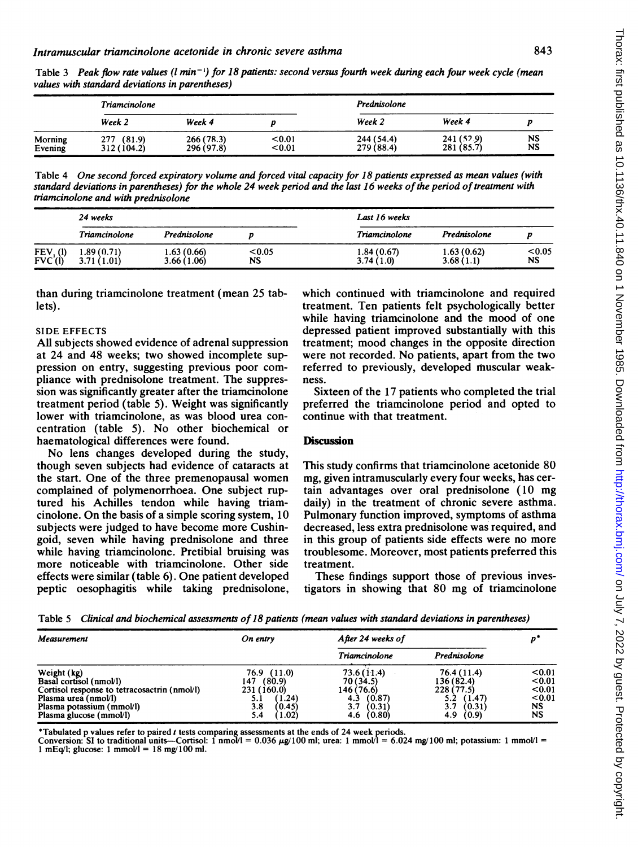843

|                    | Triamcinolone             |                         |                  | Prednisolone             |                          |          |
|--------------------|---------------------------|-------------------------|------------------|--------------------------|--------------------------|----------|
|                    | Week 2                    | Week 4                  |                  | Week 2                   | Week 4                   |          |
| Morning<br>Evening | 277 (81.9)<br>312 (104.2) | 266(78.3)<br>296 (97.8) | < 0.01<br>< 0.01 | 244 (54.4)<br>279 (88.4) | 241 (52.9)<br>281 (85.7) | NS<br>NS |

Table 3 Peak flow rate values (1 min<sup>-1</sup>) for 18 patients: second versus fourth week during each four week cycle (mean values with standard deviations in parentheses)

Table 4 One second forced expiratory volume and forced vital capacity for 18 patients expressed as mean values (with standard deviations in parentheses) for the whole 24 week period and the last 16 weeks of the period of treatment with triamcinolone and with prednisolone

|                                              | 24 weeks                 |                           | Last 16 weeks |                          |                         |                     |
|----------------------------------------------|--------------------------|---------------------------|---------------|--------------------------|-------------------------|---------------------|
|                                              | Triamcinolone            | Prednisolone              |               | Triamcinolone            | Prednisolone            |                     |
| FEV <sub>1</sub> (I)<br>FVC <sup>'</sup> (I) | 1.89(0.71)<br>3.71(1.01) | 1.63 (0.66)<br>3.66(1.06) | < 0.05<br>NS. | 1.84 (0.67)<br>3.74(1.0) | 1.63(0.62)<br>3.68(1.1) | < 0.05<br><b>NS</b> |

than during triamcinolone treatment (mean 25 tablets).

#### SIDE EFFECTS

All subjects showed evidence of adrenal suppression at 24 and 48 weeks; two showed incomplete suppression on entry, suggesting previous poor compliance with prednisolone treatment. The suppression was significantly greater after the triamcinolone treatment period (table 5). Weight was significantly lower with triamcinolone, as was blood urea concentration (table 5). No other biochemical or haematological differences were found.

No lens changes developed during the study, though seven subjects had evidence of cataracts at the start. One of the three premenopausal women complained of polymenorrhoea. One subject ruptured his Achilles tendon while having triamcinolone. On the basis of <sup>a</sup> simple scoring system, 10 subjects were judged to have become more Cushingoid, seven while having prednisolone and three while having triamcinolone. Pretibial bruising was more noticeable with triamcinolone. Other side effects were similar (table 6). One patient developed peptic oesophagitis while taking prednisolone,

which continued with triamcinolone and required treatment. Ten patients felt psychologically better while having triamcinolone and the mood of one depressed patient improved substantially with this treatment; mood changes in the opposite direction were not recorded. No patients, apart from the two referred to previously, developed muscular weakness.

Sixteen of the <sup>17</sup> patients who completed the trial preferred the triamcinolone period and opted to continue with that treatment.

#### **Discussion**

This study confirms that triamcinolone acetonide 80 mg, given intramuscularly every four weeks, has certain advantages over oral prednisolone (10 mg daily) in the treatment of chronic severe asthma. Pulmonary function improved, symptoms of asthma decreased, less extra prednisolone was required, and in this group of patients side effects were no more troublesome. Moreover, most patients preferred this treatment.

These findings support those of previous investigators in showing that 80 mg of triamcinolone

Table 5 Clinical and biochemical assessments of 18 patients (mean values with standard deviations in parentheses)

| Measurement                                  | On entry      | After 24 weeks of |               |           |
|----------------------------------------------|---------------|-------------------|---------------|-----------|
|                                              |               | Triamcinolone     | Prednisolone  |           |
| Weight (kg)                                  | 76.9 (11.0)   | 73.6 (11.4)       | 76.4 (11.4)   | < 0.01    |
| Basal cortisol (nmol/l)                      | (80.9)<br>147 | 70(34.5)          | 136 (82.4)    | < 0.01    |
| Cortisol response to tetracosactrin (nmol/l) | 231 (160.0)   | 146 (76.6)        | 228 (77.5)    | < 0.01    |
| Plasma urea (nmol/l)                         | (1.24)<br>5.1 | (0.87)<br>4.3     | (1.47)<br>5.2 | < 0.01    |
| Plasma potassium (mmol/l)                    | 3.8<br>(0.45) | 3.7<br>(0.31)     | 3.7<br>(0.31) | <b>NS</b> |
| Plasma glucose (mmol/l)                      | (1.02)<br>5.4 | 4.6(0.80)         | 4.9(0.9)      | NS        |

\*Tabulated p values refer to paired  $t$  tests comparing assessments at the ends of 24 week periods.

Conversion: SI to traditional units—Cortisol: 1 nmo $M = 0.036 \mu g/100$  ml; urea: 1 mmol/l = 6.024 mg/100 ml; potassium: 1 mmol/l =  $1 \text{ mEq/l}$ ; glucose:  $1 \text{ mmol/l} = 18 \text{ mg/}100 \text{ ml}$ .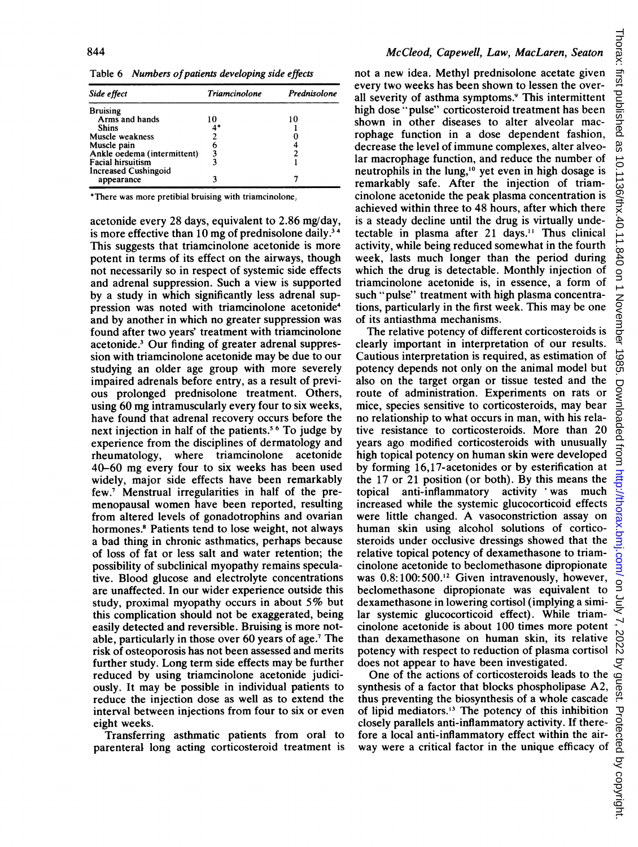Table 6 Numbers of patients developing side effects

| Side effect                 | Triamcinolone | Prednisolone |
|-----------------------------|---------------|--------------|
| <b>Bruising</b>             |               |              |
| Arms and hands              | 10            | 10           |
| <b>Shins</b>                |               |              |
| Muscle weakness             |               |              |
| Muscle pain                 | 6             |              |
| Ankle oedema (intermittent) | 3             |              |
| <b>Facial hirsuitism</b>    |               |              |
| <b>Increased Cushingoid</b> |               |              |
| appearance                  |               |              |

\*There was more pretibial bruising with triamcinolone.

acetonide every 28 days, equivalent to 2.86 mg/day, is more effective than 10 mg of prednisolone daily.<sup>34</sup> This suggests that triamcinolone acetonide is more potent in terms of its effect on the airways, though not necessarily so in respect of systemic side effects and adrenal suppression. Such a view is supported by a study in which significantly less adrenal suppression was noted with triamcinolone acetonide<sup>4</sup> and by another in which no greater suppression was found after two years' treatment with triamcinolone acetonide.3 Our finding of greater adrenal suppression with triamcinolone acetonide may be due to our studying an older age group with more severely impaired adrenals before entry, as a result of previous prolonged prednisolone treatment. Others, using 60 mg intramuscularly every four to six weeks, have found that adrenal recovery occurs before the next injection in half of the patients.<sup>56</sup> To judge by experience from the disciplines of dermatology and rheumatology, where triamcinolone acetonide 40-60 mg every four to six weeks has been used widely, major side effects have been remarkably few.7 Menstrual irregularities in half of the premenopausal women have been reported, resulting from altered levels of gonadotrophins and ovarian hormones.<sup>8</sup> Patients tend to lose weight, not always a bad thing in chronic asthmatics, perhaps because of loss of fat or less salt and water retention; the possibility of subclinical myopathy remains speculative. Blood glucose and electrolyte concentrations are unaffected. In our wider experience outside this study, proximal myopathy occurs in about 5% but this complication should not be exaggerated, being easily detected and reversible. Bruising is more notable, particularly in those over 60 years of age.7 The risk of osteoporosis has not been assessed and merits further study. Long term side effects may be further reduced by using triamcinolone acetonide judiciously. It may be possible in individual patients to reduce the injection dose as well as to extend the interval between injections from four to six or even eight weeks.

Transferring asthmatic patients from oral to parenteral long acting corticosteroid treatment is not a new idea. Methyl prednisolone acetate given every two weeks has been shown to lessen the overall severity of asthma symptoms.9 This intermittent high dose "pulse" corticosteroid treatment has been shown in other diseases to alter alveolar macrophage function in a dose dependent fashion, decrease the level of immune complexes, alter alveolar macrophage function, and reduce the number of neutrophils in the lung,<sup>10</sup> yet even in high dosage is remarkably safe. After the injection of triamcinolone acetonide the peak plasma concentration is achieved within three to 48 hours, after which there is a steady decline until the drug is virtually undetectable in plasma after 21 days." Thus clinical activity, while being reduced somewhat in the fourth week, lasts much longer than the period during which the drug is detectable. Monthly injection of triamcinolone acetonide is, in essence, a form of such "pulse" treatment with high plasma concentrations, particularly in the first week. This may be one of its antiasthma mechanisms.

The relative potency of different corticosteroids is clearly important in interpretation of our results. Cautious interpretation is required, as estimation of potency depends not only on the animal model but also on the target organ or tissue tested and the route of administration. Experiments on rats or mice, species sensitive to corticosteroids, may bear no relationship to what occurs in man, with his relative resistance to corticosteroids. More than 20 years ago modified corticosteroids with unusually high topical potency on human skin were developed by forming 16,17-acetonides or by esterification at the 17 or 21 position (or both). By this means the topical anti-inflammatory activity 'was much increased while the systemic glucocorticoid effects were little changed. A vasoconstriction assay on human skin using alcohol solutions of corticosteroids under occlusive dressings showed that the relative topical potency of dexamethasone to triamcinolone acetonide to beclomethasone dipropionate was 0.8:100:500.<sup>12</sup> Given intravenously, however, beclomethasone dipropionate was equivalent to dexamethasone in lowering cortisol (implying a similar systemic glucocorticoid effect). While triamcinolone acetonide is about 100 times more potent than dexamethasone on human skin, its relative potency with respect to reduction of plasma cortisol does not appear to have been investigated.

One of the actions of corticosteroids leads to the synthesis of a factor that blocks phospholipase A2, thus preventing the biosynthesis of a whole cascade of lipid mediators.'3 The potency of this inhibition closely parallels anti-inflammatory activity. If therefore a local anti-inflammatory effect within the airway were a critical factor in the unique efficacy of